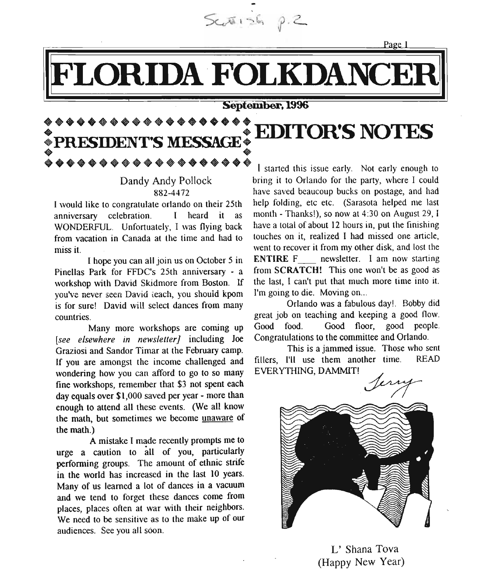$5.9.26$ 

Page 1

## LORIDA FOLKDANCEI

### September. 1996

### **EDITOR'S NOTES : PRESIDENT9S MESSAGE: EDITOR S NOTES** \*PRESIDENT'S MESSAGE<br>\*\*\*\*\*\*\*\*\*\*\*\*\*\*\*\*\*\*\*

anniversary celebration. I heard it as month - Thanks!), so now at 4:30 on August 29, I WONDERFUL. Unfortuately, I was flying back have a total of about 12 hours in, put the finishing<br>from vacation in Canada at the time and had to touches on it, realized I had missed one article, from vacation in Canada at the time and had to miss it. went to recover it from my other disk, and lost the

Pinellas Park for FFDC's 25th anniversary - a from SCRATCH! This one won't be as good as workshop with David Skidmore from Boston If the last. I can't put that much more time into it. workshop with David Skidmore from Boston. If the last, I can't put that much voulve never seen David teach vou should koom. I'm going to die. Moving on... you've never seen David teach, you should kpom I'm going to die. Moving on...<br>is for surel. David will select dances from many Chando was a fabulous day!. Bobby did is for sure! David will select dances from many countries. Great is the countries of the countries of the great job on teaching and keeping a good flow.

[see elsewhere in newsletter] including Joe Graziosi and Sandor Timar at the February camp.<br>If you are amongst the income challenged and fillers. I'll use them another time. READ If you are amongst the income challenged and wondering how you can afford to go to so many **EVERYTHING**, DAMMIT! fine workshops, remember that \$3 not spent each day equals over \$1,000 saved per year - more than enough to attend all these events. (We all know the math, but sometimes we become unaware of the math.)

A mistake I made recently prompts me to urge a caution to all of you, particularly performing groups. The amount of ethnic strife in the world has increased in the last 10 years. Many of us learned a lot of dances in a vacuum and we tend to forget these dances corne from places, places often at war with their neighbors. We need to be sensitive as to the make up of our audiences. See you all soon.

••••••••••••••••••• I started this Issue early • • . Not early enough to bring it to Orlando for the party, where I could 882-4472 have saved beaucoup bucks on postage, and had I would like to congratulate orlando on their 25th help folding, etc etc. (Sarasota helped me last I hope you can all join us on October 5 in ENTIRE F\_\_ newsletter. I am now starting

Many more workshops are coming up Good food. Good floor, good people.<br>explore in newsletterl including loe. Congratulations to the committee and Orlando.



L' Shana Tova (Happy New Year)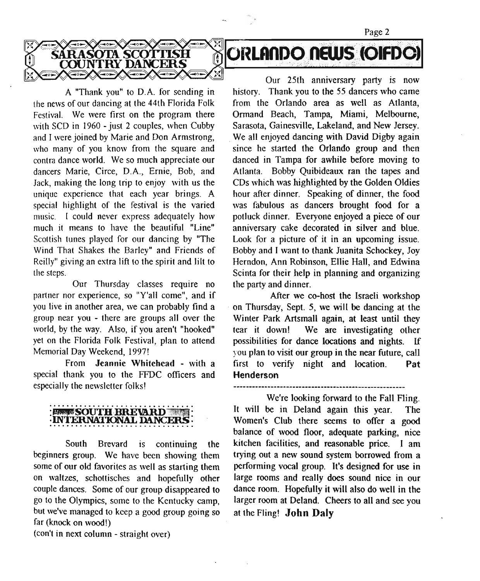the news of our dancing at the 44th Florida Folk from the Orlando area as well as Atlanta, Festival. We were first on the program there Ormand Beach, Tampa, Miami, Melbourne, with SCD in 1960 - just 2 couples, when Cubby Sarasota, Gainesville, Lakeland, and New Jersey. and I were joined by Marie and Don Armstrong, We all enjoyed dancing with David Digby again who many of you know from the square and since he started the Orlando group and then contra dance world. We so much appreciate our danced in Tampa for awhile before moving to dancers Marie, Circe, D.A., Ernie, Bob, and Atlanta. Bobby Quibideaux ran the tapes and unique experience that each year brings. A hour after dinner. Speaking of dinner, the food special highlight of the festival is the varied was fabulous as dancers brought food for a music. I could never express adequately how potluck dinner. Everyone enjoyed a piece of our much it means to have the beautiful "Line" anniversary cake decorated in silver and blue. Scottish tunes played for our dancing by "The Look for a picture of it in an upcoming issue. Wind That Shakes the Barley" and Friends of Bobby and I want to thank Juanita Schockey, Joy

~~**~~~~~~~~~~~**~~~~

Our Thursday classes require no the party and dinner. partner nor experience, so "Y'all come", and if After we co-host the Israeli workshop

special thank you to the FFDC officers and **Henderson** especially the newsletter folks!

### **BESTS SOUTH RREVARD** INTERNATIONAL DAP

South Brevard is continuing the beginners group. We have been showing them some of our old favorites as well as starting them on waltzes, schottisches and hopefully other couple dances. Some of our group disappeared to go to the Olympics, some to the Kentucky camp, but we've managed to keep a good group going so far (knock on wood!)

(con't in next column- straight over)

Our 25th anniversary party is now A "Thank you" to D.A. for sending in history. Thank you to the 55 dancers who came Jack, making the long trip to enjoy with us the CDs which was highlighted by the Golden Oldies Reilly" giving an extra lift to the spirit and lift to Herndon, Ann Robinson, Ellie Hall, and Edwina the steps. Scinta for their help in planning and organizing

**SARASOTA SCOTTISH & ORLANDO NEWS (OIFDOT** 

Page 2

you live in another area, we can probably find a on Thursday, Sept. 5, we will be dancing at the group near you • there are groups all over the Winter Park Artsmall again, at least until they world, by the way. Also, if you aren't "hooked" tear it down! We are investigating other yet on the Florida Folk Festival, plan to attend possibilities for dance locations and nights. If Memorial Day Weekend, 1997! you plan to visit our group in the near future, call From Jeannie Whitehead • with a first to verify night and location. Pat

We're looking forward to the Fall Fling. It will be in Deland again this year. The Women's Club there seems to offer a good balance of wood floor, adequate parking, nice kitchen facilities, and reasonable price. I am trying out a new sound system borrowed from a performing vocal group. It's designed for use in large rooms and really does sound nice in our dance room. Hopefully it will also do well in the larger room at Deland. Cheers to all and see you at the Fling! John Daly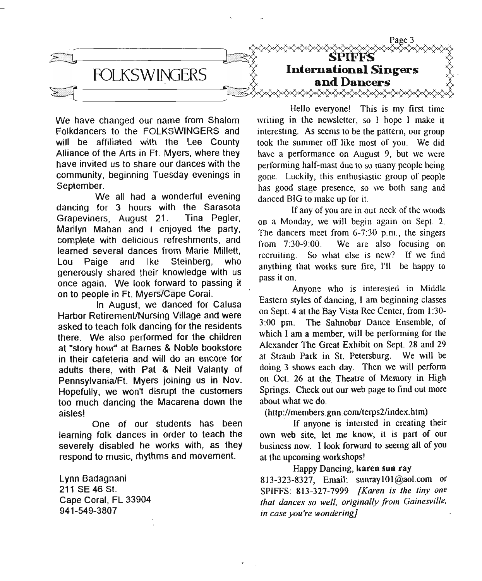

We have changed our name from Shalom Folkdancers to the FOLKSWINGERS and will be affiliated with the Lee County Alliance of the Arts in Ft. Myers, where they have invited us to share our dances with the community, beginning Tuesday evenings in September.

We all had a wonderful evening dancing for 3 hours with the Sarasota Grapeviners, August 21. Tina Pegler, Marilyn Mahan and I enjoyed the party, complete with delicious refreshments, and learned several dances from Marie Millett, Lou Paige and Ike Steinberg, who generously shared their knowledge with us once again. We look forward to passing it on to people in Ft. Myers/Cape Coral.

In August, we danced for Calusa Harbor RetiremenUNursing Village and were asked to teach folk dancing for the residents there. We also performed for the children at "story hour" at Barnes & Noble bookstore in their cafeteria and will do an encore for adults there, with Pat & Neil Valanty of Pennsylvania/Ft. Myers joining us in Nov. Hopefully, we won't disrupt the customers too much dancing the Macarena down the aisles!

One of our students has been learning folk dances in order to teach the severely disabled he works with, as they respond to music, rhythms and movement.

Lynn Badagnani 211 SE 46 st. Cape Coral, FL 33904 941-549-3807

Hello everyone! This is my first time writing in the newsletter, so I hope I make it interesting. As seems to be the pattern, our group took the summer off like most of you. We did have a performance on August 9, but we were performing half-mast due to so many people being gone. Luckily, this enthusiastic group of people has good stage presence, so we both sang and danced BIG to make up for it.

If any of you are in our neck of the woods on a Monday, we will begin again on Sept. 2. The dancers meet from 6-7:30 p.m., the singers from 7:30-9:00. We are also focusing on recruiting. So what else is new? If we find anything that works sure fire, I'll be happy to pass it on.

Anyone who is interested in Middle Eastern styles of dancing, I am beginning classes on Sept. 4 at the Bay Vista Rec Center, from 1:30- 3:00 pm. The Sahnobar Dance Ensemble, of which I am a member, will be performing for the Alexander The Great Exhibit on Sept. 28 and 29 at Straub Park in St. Petersburg. We will be doing 3 shows each day. Then we will perform on Oct. 26 at the Theatre of Memory in High Springs. Check out our web page to find out more about what we do.

(http://members.gnn.com/terps2/index.htm)

If anyone is intersted in creating their own web site, let me know, it is part of our business now. I look forward to seeing all of you at the upcoming workshops!

### Happy Dancing, karen sun ray

813-323-8327, Email: sunraylOl@aol.com or SPIFFS: 813-327-7999 *[Karen is the tiny one that dances so well, originally from Gainesville, in case you're wondering]*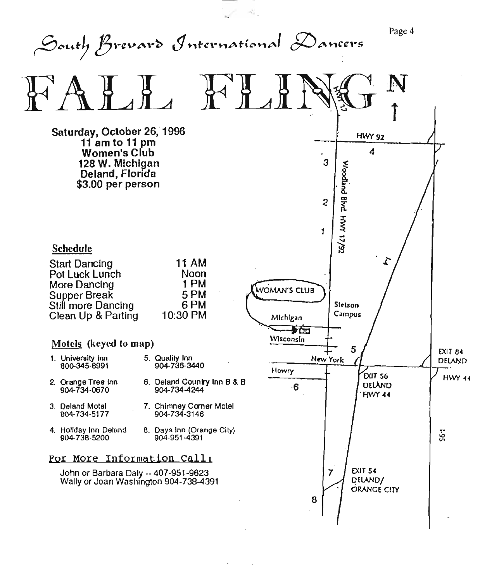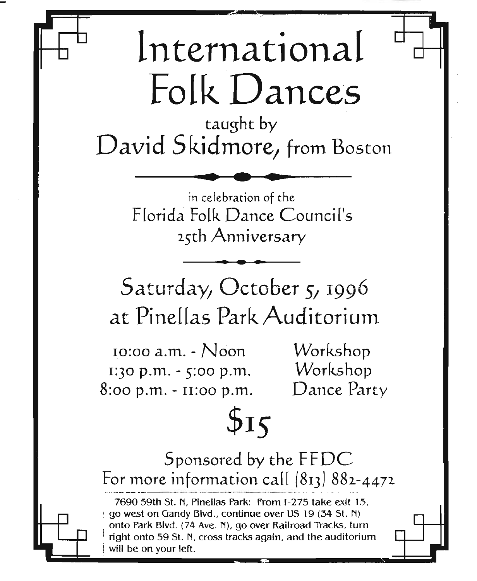## ~~~------------~------------~~~ -~ . lntemational Folk Dances

taught by David Skidmore, from Bostor • **• •**

in celebration of the Florida Folk Dance Council's 25th Anniversar *Da*<br> **\**nn

Saturday, October 5, 1996 at Pinellas Park Auditorium

**..**

 $10:00$  a.m. -  $N$  con  $1:30$  p.m. -  $5:00$  p.m.  $8:00 \text{ p.m.} - 11:00 \text{ p.m.}$ 

Workshop Workshop Dance Party

# $$15$

Sponsored by the FFDC For more information call *(813J 882-4472*

7690 59th st. N, Pinellas Park: From 1-275 take exit 15, <sup>i</sup> go west on Gandy Blvd., continue over US 19 (34 St. N) onto Park Blvd. (74 Ave. N), go over Railroad Tracks, turn right onto 59 St. N, cross tracks again, and the auditorium will be on your left.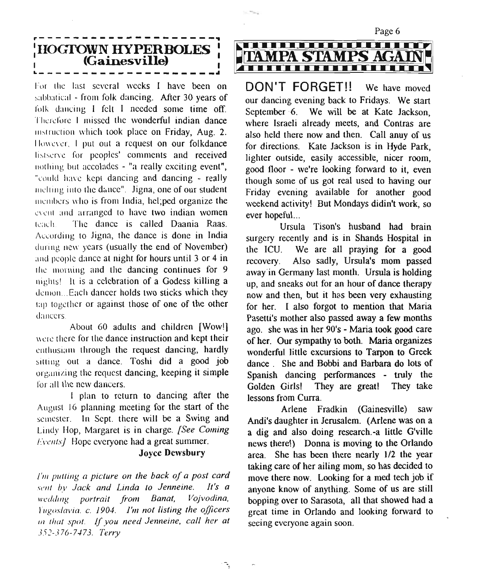

For the last several weeks I have been on sabbatical - from folk dancing. After 30 years of folk dancing I felt I needed some time off. Therefore I missed the wonderful indian dance insuuction which took place on Friday, Aug. 2. However. I put out a request on our folkdance lisrscrvc for peoples' comments and received nothing but accolades - "a really exciting event", "could have kept dancing and dancing - really melting into the dance". Jigna, one of our student inembers who is from India, hel;ped organize the event and arranged to have two indian women teach. The dance is called Daania Raas. According 10 ligna, the dance is done in India during new years (usually the end of November) and people dance at night for hours until 3 or 4 in the morning and the dancing continues for  $9$ nightst It is a celebration of a Godess killing a demon...Each dancer holds two sticks which they tap together or against those of one of the other dancers

About 60 adults and children [Wow!] were there for the dance instruction and kept their enthusiam through the request dancing, hardly sitting out a dance. Toshi did a good job organizing the request dancing, keeping it simple for all the new dancers.

I plan to return to dancing after the August 16 planning meeting for the start of the semester. In Sept. there will be a Swing and Lindy Hop, Margaret is in charge. *[See Coming Fyentsl* Hope everyone had a great summer.

### Joyce Dewsbury

*/'/11 pulling a picture on the back of a post card .1'('1/1 bv Jack and Linda 10 Jenneine. It's a lI'eddi,;g portrait from Banal, Vojvodina, l'lIgoslavia.* c. *1904. )'111 not lisling the officers In that spot. If you need Jenneine, call her at J5:!-376-7-I73. Terry*



**DON'T FORGET!!** We have moved our dancing evening back to Fridays. We start September 6. We will be at Kate Jackson, where Israeli already meets, and Contras are also held there now and then. Call anuy of us for directions. Kate Jackson is in Hyde Park, lighter outside, easily accessible, nicer room, good floor - we're looking forward to it, even though some of us got real used to having our Friday evening available for another good weekend activity! But Mondays didin't work, so ever hopeful...

Ursula Tison's husband had brain surgery recently and is in Shands Hospital in the ICU. We are all praying for a good recovery. Also sadly, Ursula's mom passed away in Germany last month. Ursula is holding up, and sneaks out for an hour of dance therapy now and then, but it has been very exhausting for her. I also forgot to mention that Maria Pasetti's mother also passed away a few months ago. she was in her 90's - Maria took good care of her. Our sympathy to both. Maria organizes wonderful little excursions to Tarpon to Greek dance. She and Bobbi and Barbara do lots of Spanish dancing performances - truly the Golden Girls! They are great! They take lessons from Curra.

Arlene Fradkin (Gainesville) saw Andi's daughter in Jerusalem. (Arlene was on a a dig and also doing research.-a little G'ville news there!) Donna is moving to the Orlando area. She has been there nearly 1/2 the year taking care of her ailing mom, so has decided to move there now. Looking for a med tech job if anyone know of anything. Some of us are still bopping over to Sarasota, all that showed had a great time in Orlando and looking forward to seeing everyone again soon.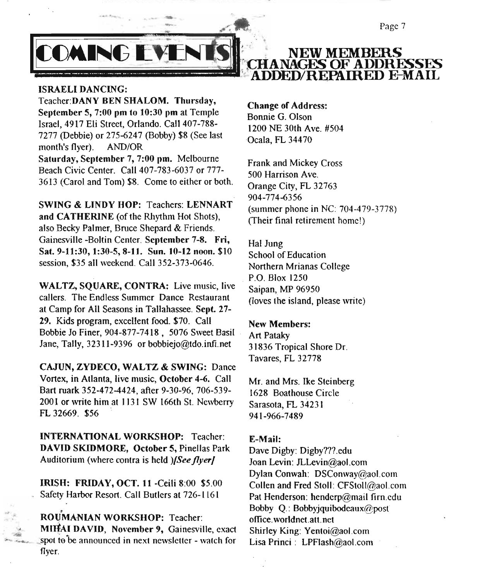Page 7



### ISRAELI DANCING:

Teacher:DANY BEN SHALOM. Thursday, September 5, 7:00 pm to 10:30 pm at Temple Israel, 4917 Eli Street, Orlando. Call 407-788- 7277 (Debbie) or 275-6247 (Bobby) \$8 (See last month's flyer). AND/OR Saturday, September 7, 7:00 pm. Melbourne Beach Civic Center. Call 407-783-6037 or 777- 3613 (Carol and Tom) \$8. Come to either or both.

SWING & LINDY HOP: Teachers: LENNART and CATHERINE (of the Rhythm Hot Shots), also Becky Palmer, Bruce Shepard & Friends. Gainesville -Boltin Center. September 7-8. Fri, Sat. 9-11:30,1:30-5,8-11. Sun. 10-12 noon. \$10 session, \$35 all weekend. Call 352-373-0646.

WALTZ, SQUARE, CONTRA: Live music, live callers. The Endless Summer Dance Restaurant at Camp for Ail Seasons in Tallahassee. Sept. 27- 29. Kids program, excellent food. \$70. Call Bobbie Jo Finer, 904-877-7418, 5076 Sweet Basil Jane, Tally, 32311-9396 or bobbiejo@tdo.infi.net

CAJUN, ZYDECO, WALTZ & SWING: Dance Vortex, in Atlanta, live music, October 4-6. Call Bart ruark 352-472-4424, after 9-30-96, 706-539- 2001 or write him at 1131 SW 166th St. Newberry FL 32669. \$56

INTERNATIONAL WORKSHOP: Teacher: DAVID SKIDMORE, October 5, Pinellas Park Auditorium (where contra is held *){Seeflyer]*

IRISH: FRIDAY, OCT. 11 -CeiJi 8:00 \$5.00 Safety Harbor Resort. Call Butlers at 726-1161

ROUMANIAN WORKSHOP: Teacher: MIHAI DAVID, November 9, Gainesville, exact spot to be announced in next newsletter - watch for flyer.

**NEW MEMBERS HANAGES OF ADDRESSES ADDED/REPAIRED E-MAIL** 

Change of Address: Bonnie G. Olson 1200 NE 30th Ave. #504 Ocala, FL 34470

Frank and Mickey Cross 500 Harrison Ave. Orange City, FL 32763 904-774-6356 (summer phone in NC: 704-479-3778) (Their final retirement homel)

Hal Jung School of Education Northern Mrianas College P.O. Blox 1250 Saipan, MP 96950 (loves the island, please write)

### New Members:

Art Pataky 31836 Tropical Shore Dr. Tavares, FL 32778

Mr. and Mrs. Ike Steinberg 1628 Boathouse Circle Sarasota, FL 34231 941-966-7489

#### E-Mail:

Dave Digby: Digby???.edu Joan Levin: JLLevin@ao1.com Dylan Conwah: DSConway@ao1.com Collen and Fred Stoll: CFStoll@ao1.com Pat Henderson: henderp@mail firn.edu Bobby Q.: Bobbyjquibodcaux@post office. worldnet.att. net Shirley King: Yentoi@aol.com Lisa Princi: LPFlash@ao1.com